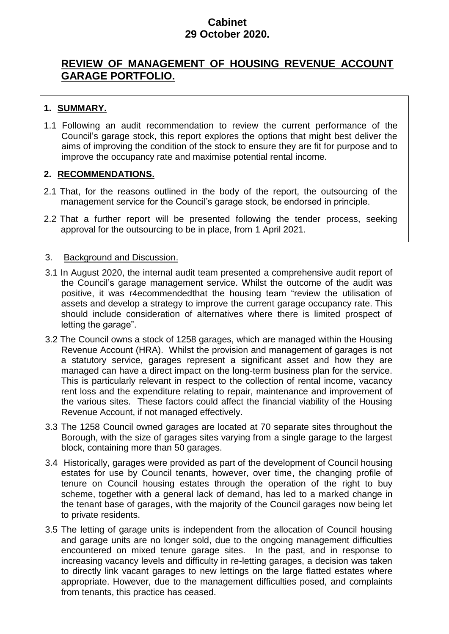## **Cabinet 29 October 2020.**

# **REVIEW OF MANAGEMENT OF HOUSING REVENUE ACCOUNT GARAGE PORTFOLIO.**

# **1. SUMMARY.**

1.1 Following an audit recommendation to review the current performance of the Council's garage stock, this report explores the options that might best deliver the aims of improving the condition of the stock to ensure they are fit for purpose and to improve the occupancy rate and maximise potential rental income.

## **2. RECOMMENDATIONS.**

- 2.1 That, for the reasons outlined in the body of the report, the outsourcing of the management service for the Council's garage stock, be endorsed in principle.
- 2.2 That a further report will be presented following the tender process, seeking approval for the outsourcing to be in place, from 1 April 2021.

### 3. Background and Discussion.

- 3.1 In August 2020, the internal audit team presented a comprehensive audit report of the Council's garage management service. Whilst the outcome of the audit was positive, it was r4ecommendedthat the housing team "review the utilisation of assets and develop a strategy to improve the current garage occupancy rate. This should include consideration of alternatives where there is limited prospect of letting the garage".
- 3.2 The Council owns a stock of 1258 garages, which are managed within the Housing Revenue Account (HRA). Whilst the provision and management of garages is not a statutory service, garages represent a significant asset and how they are managed can have a direct impact on the long-term business plan for the service. This is particularly relevant in respect to the collection of rental income, vacancy rent loss and the expenditure relating to repair, maintenance and improvement of the various sites. These factors could affect the financial viability of the Housing Revenue Account, if not managed effectively.
- 3.3 The 1258 Council owned garages are located at 70 separate sites throughout the Borough, with the size of garages sites varying from a single garage to the largest block, containing more than 50 garages.
- 3.4 Historically, garages were provided as part of the development of Council housing estates for use by Council tenants, however, over time, the changing profile of tenure on Council housing estates through the operation of the right to buy scheme, together with a general lack of demand, has led to a marked change in the tenant base of garages, with the majority of the Council garages now being let to private residents.
- 3.5 The letting of garage units is independent from the allocation of Council housing and garage units are no longer sold, due to the ongoing management difficulties encountered on mixed tenure garage sites. In the past, and in response to increasing vacancy levels and difficulty in re-letting garages, a decision was taken to directly link vacant garages to new lettings on the large flatted estates where appropriate. However, due to the management difficulties posed, and complaints from tenants, this practice has ceased.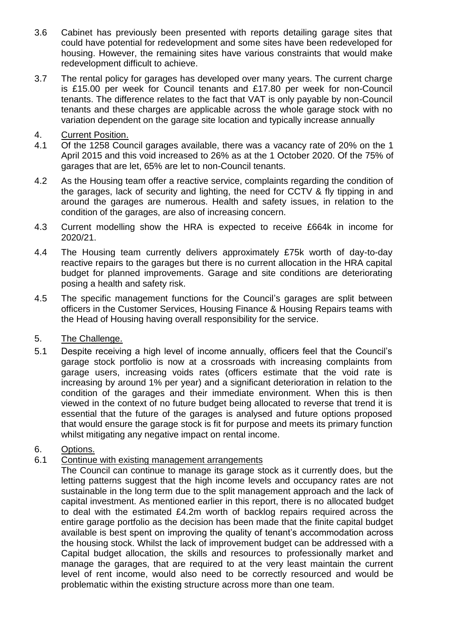- 3.6 Cabinet has previously been presented with reports detailing garage sites that could have potential for redevelopment and some sites have been redeveloped for housing. However, the remaining sites have various constraints that would make redevelopment difficult to achieve.
- 3.7 The rental policy for garages has developed over many years. The current charge is £15.00 per week for Council tenants and £17.80 per week for non-Council tenants. The difference relates to the fact that VAT is only payable by non-Council tenants and these charges are applicable across the whole garage stock with no variation dependent on the garage site location and typically increase annually
- 4. Current Position.
- 4.1 Of the 1258 Council garages available, there was a vacancy rate of 20% on the 1 April 2015 and this void increased to 26% as at the 1 October 2020. Of the 75% of garages that are let, 65% are let to non-Council tenants.
- 4.2 As the Housing team offer a reactive service, complaints regarding the condition of the garages, lack of security and lighting, the need for CCTV & fly tipping in and around the garages are numerous. Health and safety issues, in relation to the condition of the garages, are also of increasing concern.
- 4.3 Current modelling show the HRA is expected to receive £664k in income for 2020/21.
- 4.4 The Housing team currently delivers approximately £75k worth of day-to-day reactive repairs to the garages but there is no current allocation in the HRA capital budget for planned improvements. Garage and site conditions are deteriorating posing a health and safety risk.
- 4.5 The specific management functions for the Council's garages are split between officers in the Customer Services, Housing Finance & Housing Repairs teams with the Head of Housing having overall responsibility for the service.
- 5. The Challenge.
- 5.1 Despite receiving a high level of income annually, officers feel that the Council's garage stock portfolio is now at a crossroads with increasing complaints from garage users, increasing voids rates (officers estimate that the void rate is increasing by around 1% per year) and a significant deterioration in relation to the condition of the garages and their immediate environment. When this is then viewed in the context of no future budget being allocated to reverse that trend it is essential that the future of the garages is analysed and future options proposed that would ensure the garage stock is fit for purpose and meets its primary function whilst mitigating any negative impact on rental income.
- 6. Options.
- 6.1 Continue with existing management arrangements

The Council can continue to manage its garage stock as it currently does, but the letting patterns suggest that the high income levels and occupancy rates are not sustainable in the long term due to the split management approach and the lack of capital investment. As mentioned earlier in this report, there is no allocated budget to deal with the estimated £4.2m worth of backlog repairs required across the entire garage portfolio as the decision has been made that the finite capital budget available is best spent on improving the quality of tenant's accommodation across the housing stock. Whilst the lack of improvement budget can be addressed with a Capital budget allocation, the skills and resources to professionally market and manage the garages, that are required to at the very least maintain the current level of rent income, would also need to be correctly resourced and would be problematic within the existing structure across more than one team.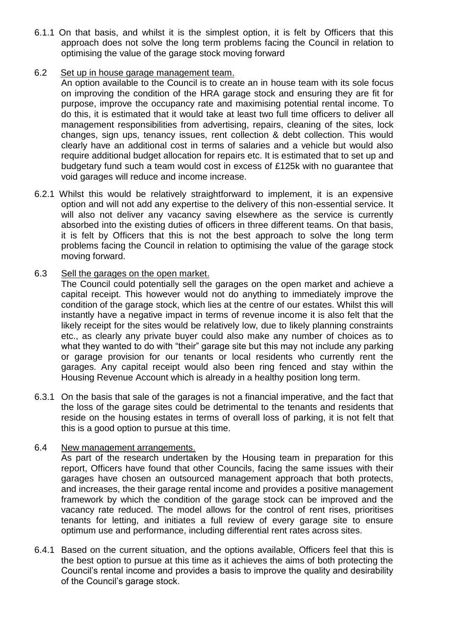6.1.1 On that basis, and whilst it is the simplest option, it is felt by Officers that this approach does not solve the long term problems facing the Council in relation to optimising the value of the garage stock moving forward

#### 6.2 Set up in house garage management team.

An option available to the Council is to create an in house team with its sole focus on improving the condition of the HRA garage stock and ensuring they are fit for purpose, improve the occupancy rate and maximising potential rental income. To do this, it is estimated that it would take at least two full time officers to deliver all management responsibilities from advertising, repairs, cleaning of the sites, lock changes, sign ups, tenancy issues, rent collection & debt collection. This would clearly have an additional cost in terms of salaries and a vehicle but would also require additional budget allocation for repairs etc. It is estimated that to set up and budgetary fund such a team would cost in excess of £125k with no guarantee that void garages will reduce and income increase.

- 6.2.1 Whilst this would be relatively straightforward to implement, it is an expensive option and will not add any expertise to the delivery of this non-essential service. It will also not deliver any vacancy saving elsewhere as the service is currently absorbed into the existing duties of officers in three different teams. On that basis, it is felt by Officers that this is not the best approach to solve the long term problems facing the Council in relation to optimising the value of the garage stock moving forward.
- 6.3 Sell the garages on the open market.

The Council could potentially sell the garages on the open market and achieve a capital receipt. This however would not do anything to immediately improve the condition of the garage stock, which lies at the centre of our estates. Whilst this will instantly have a negative impact in terms of revenue income it is also felt that the likely receipt for the sites would be relatively low, due to likely planning constraints etc., as clearly any private buyer could also make any number of choices as to what they wanted to do with "their" garage site but this may not include any parking or garage provision for our tenants or local residents who currently rent the garages. Any capital receipt would also been ring fenced and stay within the Housing Revenue Account which is already in a healthy position long term.

6.3.1 On the basis that sale of the garages is not a financial imperative, and the fact that the loss of the garage sites could be detrimental to the tenants and residents that reside on the housing estates in terms of overall loss of parking, it is not felt that this is a good option to pursue at this time.

#### 6.4 New management arrangements.

As part of the research undertaken by the Housing team in preparation for this report, Officers have found that other Councils, facing the same issues with their garages have chosen an outsourced management approach that both protects, and increases, the their garage rental income and provides a positive management framework by which the condition of the garage stock can be improved and the vacancy rate reduced. The model allows for the control of rent rises, prioritises tenants for letting, and initiates a full review of every garage site to ensure optimum use and performance, including differential rent rates across sites.

6.4.1 Based on the current situation, and the options available, Officers feel that this is the best option to pursue at this time as it achieves the aims of both protecting the Council's rental income and provides a basis to improve the quality and desirability of the Council's garage stock.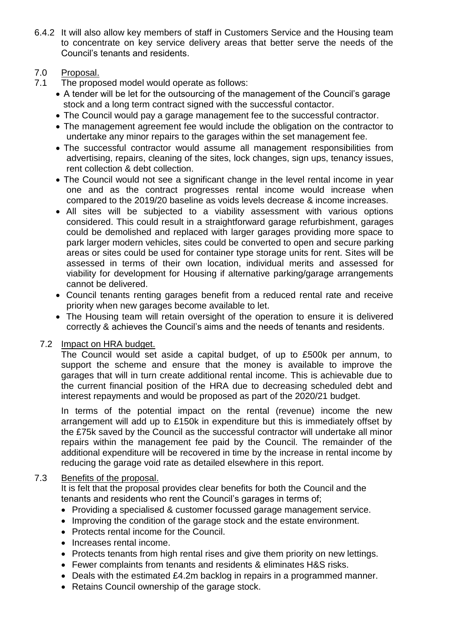6.4.2 It will also allow key members of staff in Customers Service and the Housing team to concentrate on key service delivery areas that better serve the needs of the Council's tenants and residents.

## 7.0 Proposal.

- 7.1 The proposed model would operate as follows:
	- A tender will be let for the outsourcing of the management of the Council's garage stock and a long term contract signed with the successful contactor.
	- The Council would pay a garage management fee to the successful contractor.
	- The management agreement fee would include the obligation on the contractor to undertake any minor repairs to the garages within the set management fee.
	- The successful contractor would assume all management responsibilities from advertising, repairs, cleaning of the sites, lock changes, sign ups, tenancy issues, rent collection & debt collection.
	- The Council would not see a significant change in the level rental income in year one and as the contract progresses rental income would increase when compared to the 2019/20 baseline as voids levels decrease & income increases.
	- All sites will be subjected to a viability assessment with various options considered. This could result in a straightforward garage refurbishment, garages could be demolished and replaced with larger garages providing more space to park larger modern vehicles, sites could be converted to open and secure parking areas or sites could be used for container type storage units for rent. Sites will be assessed in terms of their own location, individual merits and assessed for viability for development for Housing if alternative parking/garage arrangements cannot be delivered.
	- Council tenants renting garages benefit from a reduced rental rate and receive priority when new garages become available to let.
	- The Housing team will retain oversight of the operation to ensure it is delivered correctly & achieves the Council's aims and the needs of tenants and residents.

#### 7.2 Impact on HRA budget.

The Council would set aside a capital budget, of up to £500k per annum, to support the scheme and ensure that the money is available to improve the garages that will in turn create additional rental income. This is achievable due to the current financial position of the HRA due to decreasing scheduled debt and interest repayments and would be proposed as part of the 2020/21 budget.

In terms of the potential impact on the rental (revenue) income the new arrangement will add up to £150k in expenditure but this is immediately offset by the £75k saved by the Council as the successful contractor will undertake all minor repairs within the management fee paid by the Council. The remainder of the additional expenditure will be recovered in time by the increase in rental income by reducing the garage void rate as detailed elsewhere in this report.

#### 7.3 Benefits of the proposal.

It is felt that the proposal provides clear benefits for both the Council and the tenants and residents who rent the Council's garages in terms of;

- Providing a specialised & customer focussed garage management service.
- Improving the condition of the garage stock and the estate environment.
- Protects rental income for the Council.
- Increases rental income.
- Protects tenants from high rental rises and give them priority on new lettings.
- Fewer complaints from tenants and residents & eliminates H&S risks.
- Deals with the estimated £4.2m backlog in repairs in a programmed manner.
- Retains Council ownership of the garage stock.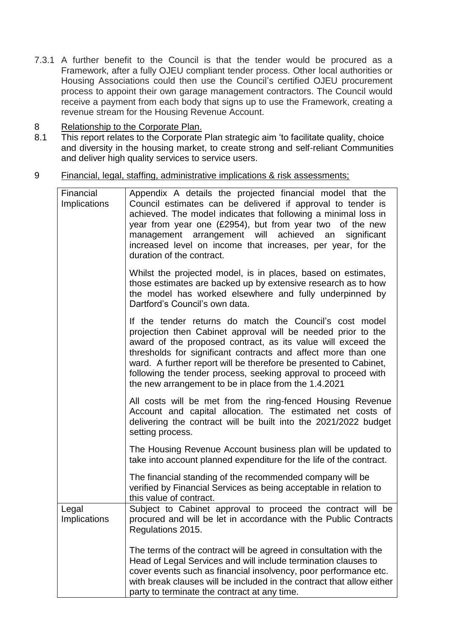- 7.3.1 A further benefit to the Council is that the tender would be procured as a Framework, after a fully OJEU compliant tender process. Other local authorities or Housing Associations could then use the Council's certified OJEU procurement process to appoint their own garage management contractors. The Council would receive a payment from each body that signs up to use the Framework, creating a revenue stream for the Housing Revenue Account.
- 8 Relationship to the Corporate Plan.
- 8.1 This report relates to the Corporate Plan strategic aim 'to facilitate quality, choice and diversity in the housing market, to create strong and self-reliant Communities and deliver high quality services to service users.
- 9 Financial, legal, staffing, administrative implications & risk assessments;

| Financial<br><b>Implications</b> | Appendix A details the projected financial model that the<br>Council estimates can be delivered if approval to tender is<br>achieved. The model indicates that following a minimal loss in<br>year from year one (£2954), but from year two of the new<br>management arrangement will achieved<br>an<br>significant<br>increased level on income that increases, per year, for the<br>duration of the contract.                                         |
|----------------------------------|---------------------------------------------------------------------------------------------------------------------------------------------------------------------------------------------------------------------------------------------------------------------------------------------------------------------------------------------------------------------------------------------------------------------------------------------------------|
|                                  | Whilst the projected model, is in places, based on estimates,<br>those estimates are backed up by extensive research as to how<br>the model has worked elsewhere and fully underpinned by<br>Dartford's Council's own data.                                                                                                                                                                                                                             |
|                                  | If the tender returns do match the Council's cost model<br>projection then Cabinet approval will be needed prior to the<br>award of the proposed contract, as its value will exceed the<br>thresholds for significant contracts and affect more than one<br>ward. A further report will be therefore be presented to Cabinet,<br>following the tender process, seeking approval to proceed with<br>the new arrangement to be in place from the 1.4.2021 |
|                                  | All costs will be met from the ring-fenced Housing Revenue<br>Account and capital allocation. The estimated net costs of<br>delivering the contract will be built into the 2021/2022 budget<br>setting process.                                                                                                                                                                                                                                         |
|                                  | The Housing Revenue Account business plan will be updated to<br>take into account planned expenditure for the life of the contract.                                                                                                                                                                                                                                                                                                                     |
|                                  | The financial standing of the recommended company will be<br>verified by Financial Services as being acceptable in relation to<br>this value of contract.                                                                                                                                                                                                                                                                                               |
| Legal<br>Implications            | Subject to Cabinet approval to proceed the contract will be<br>procured and will be let in accordance with the Public Contracts<br>Regulations 2015.                                                                                                                                                                                                                                                                                                    |
|                                  | The terms of the contract will be agreed in consultation with the<br>Head of Legal Services and will include termination clauses to<br>cover events such as financial insolvency, poor performance etc.<br>with break clauses will be included in the contract that allow either<br>party to terminate the contract at any time.                                                                                                                        |